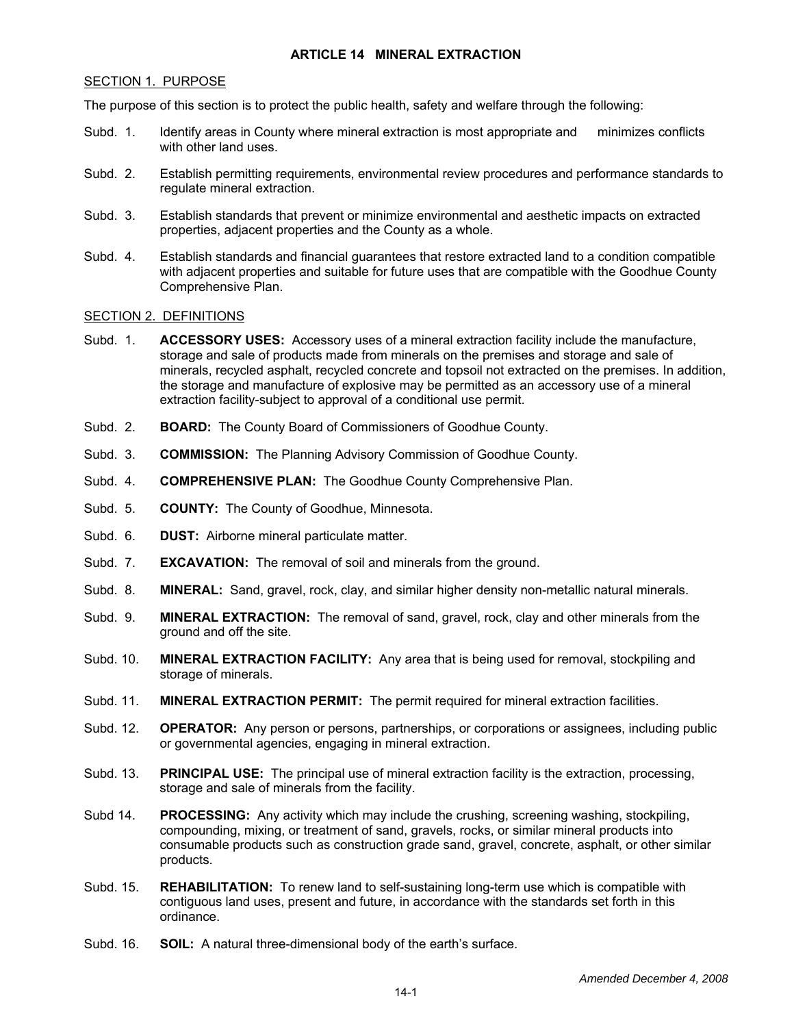### **ARTICLE 14 MINERAL EXTRACTION**

#### SECTION 1. PURPOSE

The purpose of this section is to protect the public health, safety and welfare through the following:

- Subd. 1. Identify areas in County where mineral extraction is most appropriate and minimizes conflicts with other land uses.
- Subd. 2. Establish permitting requirements, environmental review procedures and performance standards to regulate mineral extraction.
- Subd. 3. Establish standards that prevent or minimize environmental and aesthetic impacts on extracted properties, adjacent properties and the County as a whole.
- Subd. 4. Establish standards and financial guarantees that restore extracted land to a condition compatible with adjacent properties and suitable for future uses that are compatible with the Goodhue County Comprehensive Plan.

# SECTION 2. DEFINITIONS

- Subd. 1. **ACCESSORY USES:** Accessory uses of a mineral extraction facility include the manufacture, storage and sale of products made from minerals on the premises and storage and sale of minerals, recycled asphalt, recycled concrete and topsoil not extracted on the premises. In addition, the storage and manufacture of explosive may be permitted as an accessory use of a mineral extraction facility-subject to approval of a conditional use permit.
- Subd. 2. **BOARD:** The County Board of Commissioners of Goodhue County.
- Subd. 3. **COMMISSION:** The Planning Advisory Commission of Goodhue County.
- Subd. 4. **COMPREHENSIVE PLAN:** The Goodhue County Comprehensive Plan.
- Subd. 5. **COUNTY:** The County of Goodhue, Minnesota.
- Subd. 6. **DUST:** Airborne mineral particulate matter.
- Subd. 7. **EXCAVATION:** The removal of soil and minerals from the ground.
- Subd. 8. **MINERAL:** Sand, gravel, rock, clay, and similar higher density non-metallic natural minerals.
- Subd. 9. **MINERAL EXTRACTION:** The removal of sand, gravel, rock, clay and other minerals from the ground and off the site.
- Subd. 10. **MINERAL EXTRACTION FACILITY:** Any area that is being used for removal, stockpiling and storage of minerals.
- Subd. 11. **MINERAL EXTRACTION PERMIT:** The permit required for mineral extraction facilities.
- Subd. 12. **OPERATOR:** Any person or persons, partnerships, or corporations or assignees, including public or governmental agencies, engaging in mineral extraction.
- Subd. 13. **PRINCIPAL USE:** The principal use of mineral extraction facility is the extraction, processing, storage and sale of minerals from the facility.
- Subd 14. **PROCESSING:** Any activity which may include the crushing, screening washing, stockpiling, compounding, mixing, or treatment of sand, gravels, rocks, or similar mineral products into consumable products such as construction grade sand, gravel, concrete, asphalt, or other similar products.
- Subd. 15. **REHABILITATION:** To renew land to self-sustaining long-term use which is compatible with contiguous land uses, present and future, in accordance with the standards set forth in this ordinance.
- Subd. 16. **SOIL:** A natural three-dimensional body of the earth's surface.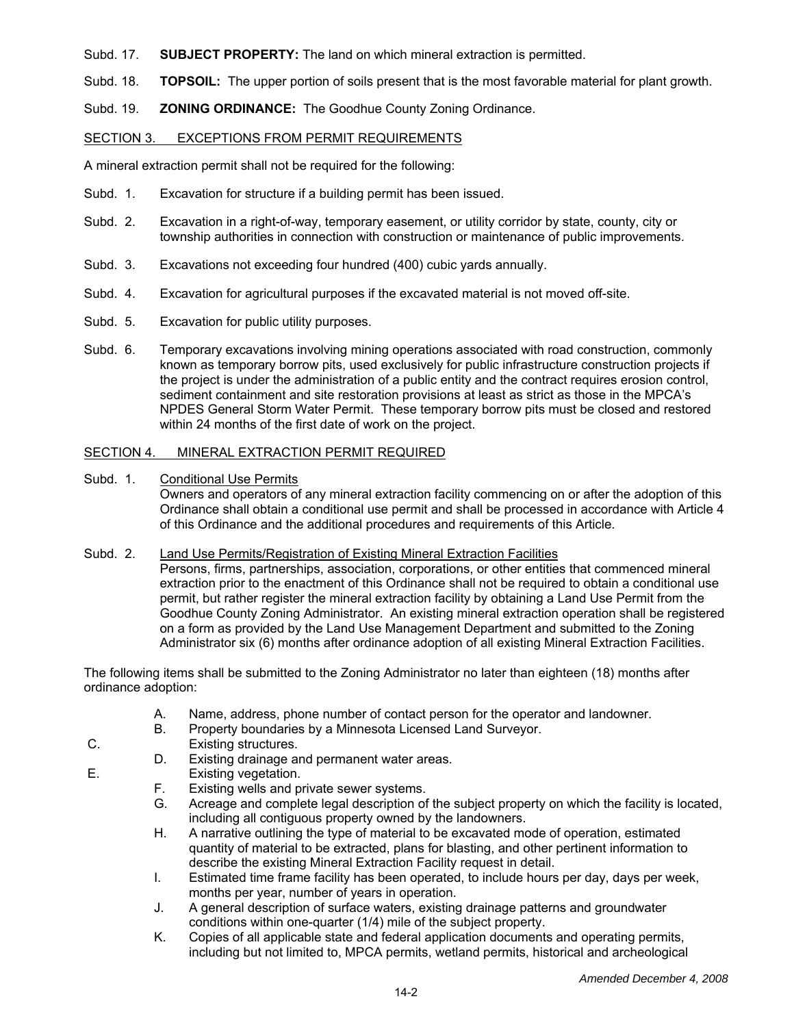- Subd. 17. **SUBJECT PROPERTY:** The land on which mineral extraction is permitted.
- Subd. 18. **TOPSOIL:** The upper portion of soils present that is the most favorable material for plant growth.
- Subd. 19. **ZONING ORDINANCE:** The Goodhue County Zoning Ordinance.

### SECTION 3. EXCEPTIONS FROM PERMIT REQUIREMENTS

A mineral extraction permit shall not be required for the following:

- Subd. 1. Excavation for structure if a building permit has been issued.
- Subd. 2. Excavation in a right-of-way, temporary easement, or utility corridor by state, county, city or township authorities in connection with construction or maintenance of public improvements.
- Subd. 3. Excavations not exceeding four hundred (400) cubic yards annually.
- Subd. 4. Excavation for agricultural purposes if the excavated material is not moved off-site.
- Subd. 5. Excavation for public utility purposes.
- Subd. 6. Temporary excavations involving mining operations associated with road construction, commonly known as temporary borrow pits, used exclusively for public infrastructure construction projects if the project is under the administration of a public entity and the contract requires erosion control, sediment containment and site restoration provisions at least as strict as those in the MPCA's NPDES General Storm Water Permit. These temporary borrow pits must be closed and restored within 24 months of the first date of work on the project.

### SECTION 4. MINERAL EXTRACTION PERMIT REQUIRED

Subd. 1. Conditional Use Permits Owners and operators of any mineral extraction facility commencing on or after the adoption of this Ordinance shall obtain a conditional use permit and shall be processed in accordance with Article 4 of this Ordinance and the additional procedures and requirements of this Article.

### Subd. 2. Land Use Permits/Registration of Existing Mineral Extraction Facilities

Persons, firms, partnerships, association, corporations, or other entities that commenced mineral extraction prior to the enactment of this Ordinance shall not be required to obtain a conditional use permit, but rather register the mineral extraction facility by obtaining a Land Use Permit from the Goodhue County Zoning Administrator. An existing mineral extraction operation shall be registered on a form as provided by the Land Use Management Department and submitted to the Zoning Administrator six (6) months after ordinance adoption of all existing Mineral Extraction Facilities.

The following items shall be submitted to the Zoning Administrator no later than eighteen (18) months after ordinance adoption:

- A. Name, address, phone number of contact person for the operator and landowner.
- B. Property boundaries by a Minnesota Licensed Land Surveyor.
- C. Existing structures.
	- D. Existing drainage and permanent water areas.
- E. Existing vegetation.
	- F. Existing wells and private sewer systems.
	- G. Acreage and complete legal description of the subject property on which the facility is located, including all contiguous property owned by the landowners.
	- H. A narrative outlining the type of material to be excavated mode of operation, estimated quantity of material to be extracted, plans for blasting, and other pertinent information to describe the existing Mineral Extraction Facility request in detail.
	- I. Estimated time frame facility has been operated, to include hours per day, days per week, months per year, number of years in operation.
	- J. A general description of surface waters, existing drainage patterns and groundwater conditions within one-quarter (1/4) mile of the subject property.
	- K. Copies of all applicable state and federal application documents and operating permits, including but not limited to, MPCA permits, wetland permits, historical and archeological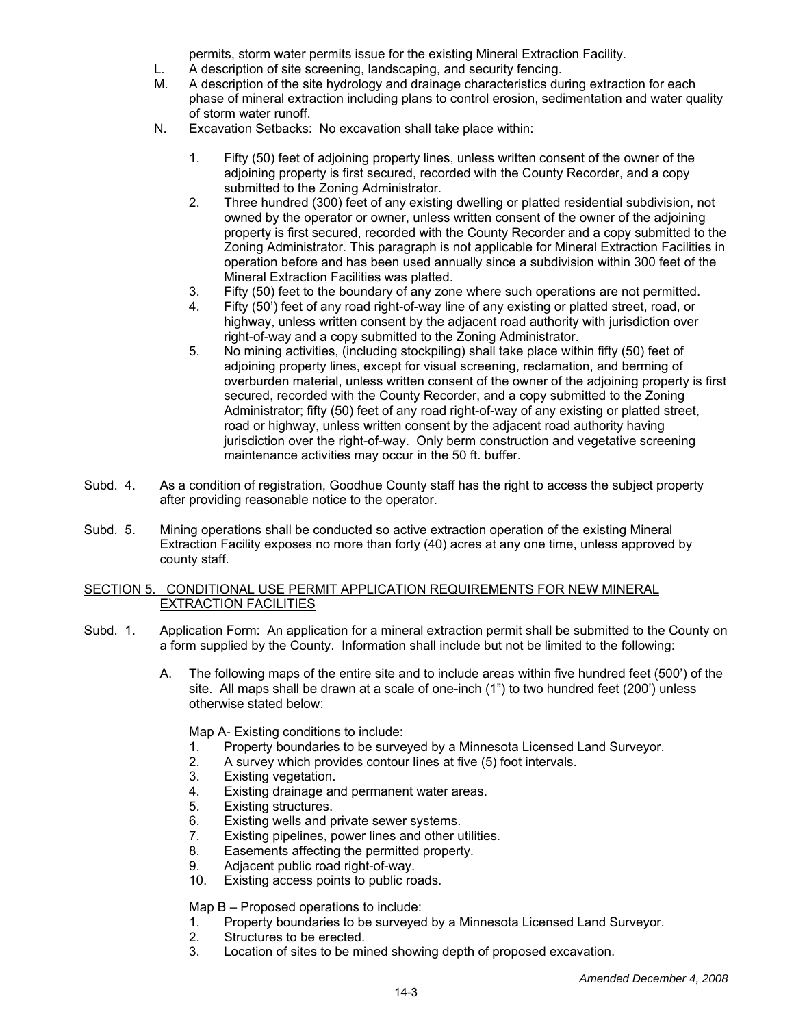permits, storm water permits issue for the existing Mineral Extraction Facility.

- L. A description of site screening, landscaping, and security fencing.
- M. A description of the site hydrology and drainage characteristics during extraction for each phase of mineral extraction including plans to control erosion, sedimentation and water quality of storm water runoff.
- N. Excavation Setbacks: No excavation shall take place within:
	- 1. Fifty (50) feet of adjoining property lines, unless written consent of the owner of the adjoining property is first secured, recorded with the County Recorder, and a copy submitted to the Zoning Administrator.
	- 2. Three hundred (300) feet of any existing dwelling or platted residential subdivision, not owned by the operator or owner, unless written consent of the owner of the adjoining property is first secured, recorded with the County Recorder and a copy submitted to the Zoning Administrator. This paragraph is not applicable for Mineral Extraction Facilities in operation before and has been used annually since a subdivision within 300 feet of the Mineral Extraction Facilities was platted.
	- 3. Fifty (50) feet to the boundary of any zone where such operations are not permitted.<br>4. Fifty (50') feet of any road right-of-way line of any existing or platted street, road, or
	- Fifty (50') feet of any road right-of-way line of any existing or platted street, road, or highway, unless written consent by the adjacent road authority with jurisdiction over right-of-way and a copy submitted to the Zoning Administrator.
	- 5. No mining activities, (including stockpiling) shall take place within fifty (50) feet of adjoining property lines, except for visual screening, reclamation, and berming of overburden material, unless written consent of the owner of the adjoining property is first secured, recorded with the County Recorder, and a copy submitted to the Zoning Administrator; fifty (50) feet of any road right-of-way of any existing or platted street, road or highway, unless written consent by the adjacent road authority having jurisdiction over the right-of-way. Only berm construction and vegetative screening maintenance activities may occur in the 50 ft. buffer.
- Subd. 4. As a condition of registration, Goodhue County staff has the right to access the subject property after providing reasonable notice to the operator.
- Subd. 5. Mining operations shall be conducted so active extraction operation of the existing Mineral Extraction Facility exposes no more than forty (40) acres at any one time, unless approved by county staff.

# SECTION 5. CONDITIONAL USE PERMIT APPLICATION REQUIREMENTS FOR NEW MINERAL EXTRACTION FACILITIES

- Subd. 1. Application Form: An application for a mineral extraction permit shall be submitted to the County on a form supplied by the County. Information shall include but not be limited to the following:
	- A. The following maps of the entire site and to include areas within five hundred feet (500') of the site. All maps shall be drawn at a scale of one-inch (1") to two hundred feet (200') unless otherwise stated below:

Map A- Existing conditions to include:

- 1. Property boundaries to be surveyed by a Minnesota Licensed Land Surveyor.
- 2. A survey which provides contour lines at five (5) foot intervals.<br>3. Existing vegetation.
- 3. Existing vegetation.<br>4. Existing drainage are
- Existing drainage and permanent water areas.
- 5. Existing structures.
- 6. Existing wells and private sewer systems.<br>7. Existing pipelines, power lines and other u
- Existing pipelines, power lines and other utilities.
- 8. Easements affecting the permitted property.
- 9. Adjacent public road right-of-way.<br>10. Existing access points to public ro
- Existing access points to public roads.

### Map B – Proposed operations to include:

- 1. Property boundaries to be surveyed by a Minnesota Licensed Land Surveyor.<br>2. Structures to be erected.
- 2. Structures to be erected.<br>3. Location of sites to be minu
- Location of sites to be mined showing depth of proposed excavation.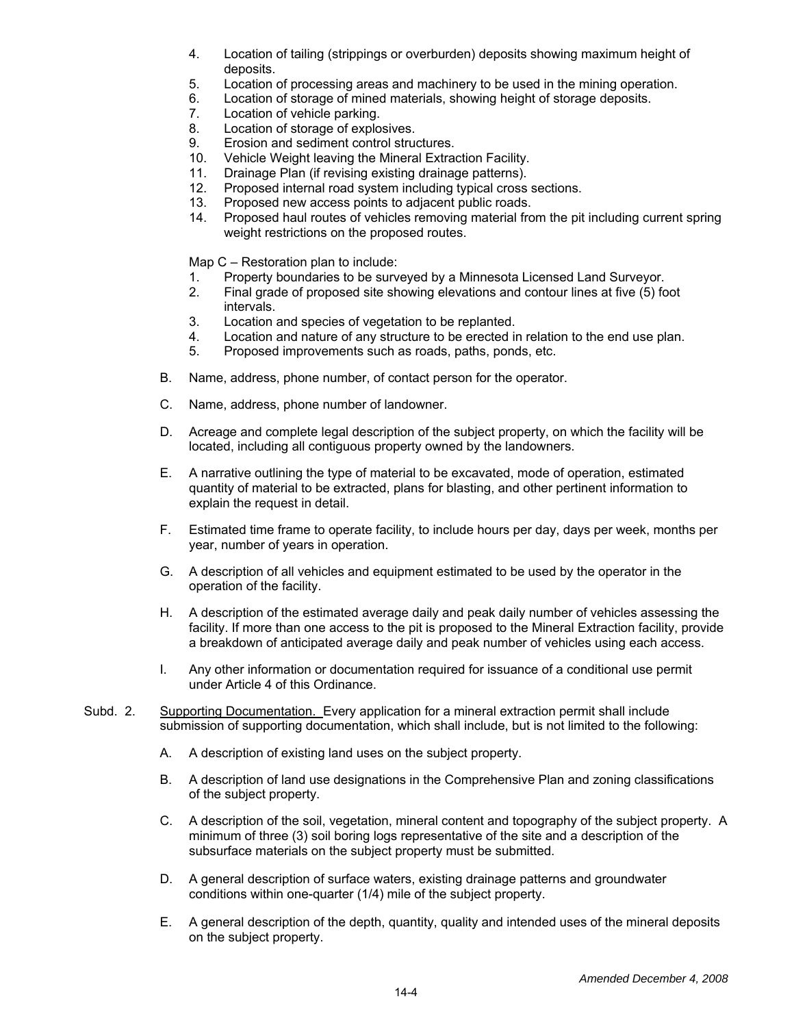- 4. Location of tailing (strippings or overburden) deposits showing maximum height of deposits.
- 5. Location of processing areas and machinery to be used in the mining operation.
- 6. Location of storage of mined materials, showing height of storage deposits.
- 7. Location of vehicle parking.<br>8. Location of storage of explo
- Location of storage of explosives.
- 9. Erosion and sediment control structures.<br>10. Vehicle Weight leaving the Mineral Extra
- 10. Vehicle Weight leaving the Mineral Extraction Facility.<br>11. Drainage Plan (if revising existing drainage patterns).
- Drainage Plan (if revising existing drainage patterns).
- 12. Proposed internal road system including typical cross sections.
- 13. Proposed new access points to adjacent public roads.
- 14. Proposed haul routes of vehicles removing material from the pit including current spring weight restrictions on the proposed routes.

Map C – Restoration plan to include:

- 1. Property boundaries to be surveyed by a Minnesota Licensed Land Surveyor.
- 2. Final grade of proposed site showing elevations and contour lines at five (5) foot intervals.
- 3. Location and species of vegetation to be replanted.
- 4. Location and nature of any structure to be erected in relation to the end use plan.<br>5. Proposed improvements such as roads, paths, ponds, etc.
- 5. Proposed improvements such as roads, paths, ponds, etc.
- B. Name, address, phone number, of contact person for the operator.
- C. Name, address, phone number of landowner.
- D. Acreage and complete legal description of the subject property, on which the facility will be located, including all contiguous property owned by the landowners.
- E. A narrative outlining the type of material to be excavated, mode of operation, estimated quantity of material to be extracted, plans for blasting, and other pertinent information to explain the request in detail.
- F. Estimated time frame to operate facility, to include hours per day, days per week, months per year, number of years in operation.
- G. A description of all vehicles and equipment estimated to be used by the operator in the operation of the facility.
- H. A description of the estimated average daily and peak daily number of vehicles assessing the facility. If more than one access to the pit is proposed to the Mineral Extraction facility, provide a breakdown of anticipated average daily and peak number of vehicles using each access.
- I. Any other information or documentation required for issuance of a conditional use permit under Article 4 of this Ordinance.
- Subd. 2. Supporting Documentation. Every application for a mineral extraction permit shall include submission of supporting documentation, which shall include, but is not limited to the following:
	- A. A description of existing land uses on the subject property.
	- B. A description of land use designations in the Comprehensive Plan and zoning classifications of the subject property.
	- C. A description of the soil, vegetation, mineral content and topography of the subject property. A minimum of three (3) soil boring logs representative of the site and a description of the subsurface materials on the subject property must be submitted.
	- D. A general description of surface waters, existing drainage patterns and groundwater conditions within one-quarter (1/4) mile of the subject property.
	- E. A general description of the depth, quantity, quality and intended uses of the mineral deposits on the subject property.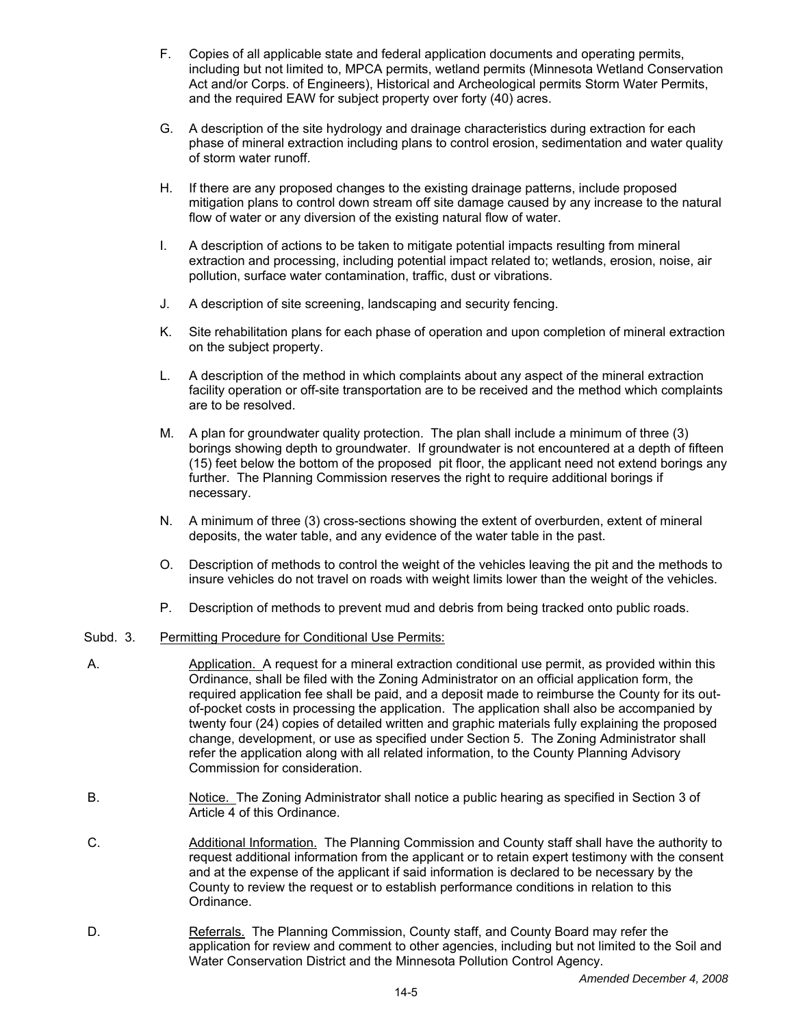- F. Copies of all applicable state and federal application documents and operating permits, including but not limited to, MPCA permits, wetland permits (Minnesota Wetland Conservation Act and/or Corps. of Engineers), Historical and Archeological permits Storm Water Permits, and the required EAW for subject property over forty (40) acres.
- G. A description of the site hydrology and drainage characteristics during extraction for each phase of mineral extraction including plans to control erosion, sedimentation and water quality of storm water runoff.
- H. If there are any proposed changes to the existing drainage patterns, include proposed mitigation plans to control down stream off site damage caused by any increase to the natural flow of water or any diversion of the existing natural flow of water.
- I. A description of actions to be taken to mitigate potential impacts resulting from mineral extraction and processing, including potential impact related to; wetlands, erosion, noise, air pollution, surface water contamination, traffic, dust or vibrations.
- J. A description of site screening, landscaping and security fencing.
- K. Site rehabilitation plans for each phase of operation and upon completion of mineral extraction on the subject property.
- L. A description of the method in which complaints about any aspect of the mineral extraction facility operation or off-site transportation are to be received and the method which complaints are to be resolved.
- M. A plan for groundwater quality protection. The plan shall include a minimum of three (3) borings showing depth to groundwater. If groundwater is not encountered at a depth of fifteen (15) feet below the bottom of the proposed pit floor, the applicant need not extend borings any further. The Planning Commission reserves the right to require additional borings if necessary.
- N. A minimum of three (3) cross-sections showing the extent of overburden, extent of mineral deposits, the water table, and any evidence of the water table in the past.
- O. Description of methods to control the weight of the vehicles leaving the pit and the methods to insure vehicles do not travel on roads with weight limits lower than the weight of the vehicles.
- P. Description of methods to prevent mud and debris from being tracked onto public roads.

# Subd. 3. Permitting Procedure for Conditional Use Permits:

- A. Application. A request for a mineral extraction conditional use permit, as provided within this Ordinance, shall be filed with the Zoning Administrator on an official application form, the required application fee shall be paid, and a deposit made to reimburse the County for its outof-pocket costs in processing the application. The application shall also be accompanied by twenty four (24) copies of detailed written and graphic materials fully explaining the proposed change, development, or use as specified under Section 5. The Zoning Administrator shall refer the application along with all related information, to the County Planning Advisory Commission for consideration.
- B. Notice. The Zoning Administrator shall notice a public hearing as specified in Section 3 of Article 4 of this Ordinance.
- C. Additional Information. The Planning Commission and County staff shall have the authority to request additional information from the applicant or to retain expert testimony with the consent and at the expense of the applicant if said information is declared to be necessary by the County to review the request or to establish performance conditions in relation to this Ordinance.
- D. Referrals. The Planning Commission, County staff, and County Board may refer the application for review and comment to other agencies, including but not limited to the Soil and Water Conservation District and the Minnesota Pollution Control Agency.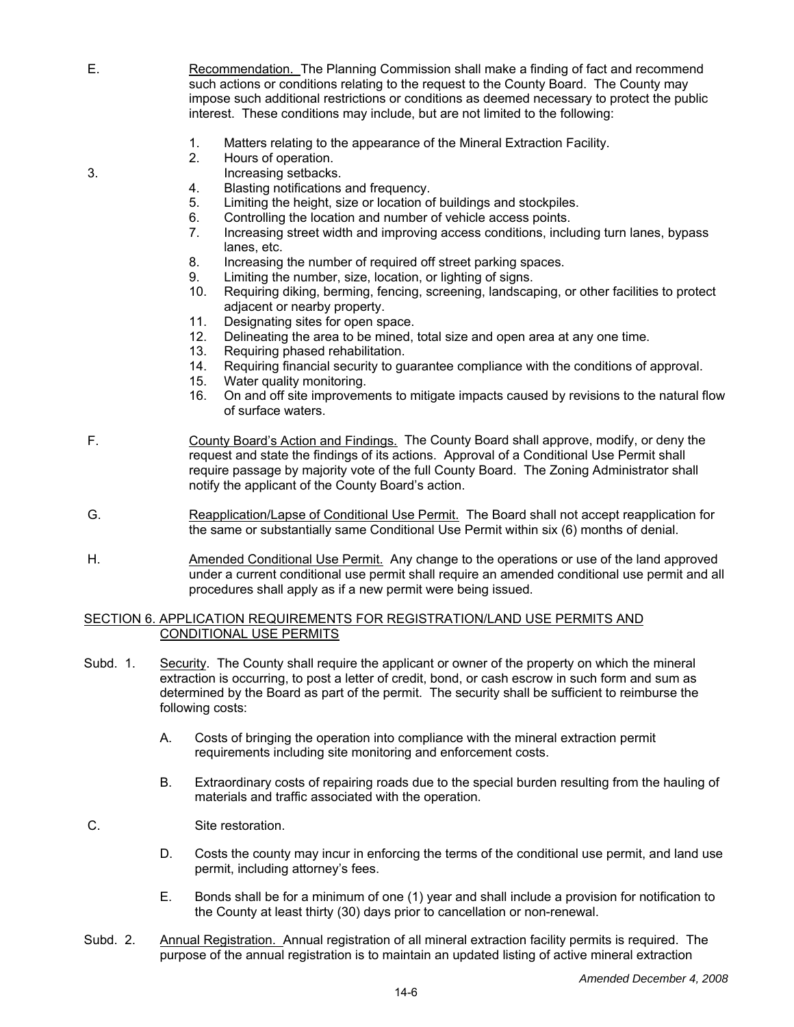- E. Recommendation. The Planning Commission shall make a finding of fact and recommend such actions or conditions relating to the request to the County Board. The County may impose such additional restrictions or conditions as deemed necessary to protect the public interest. These conditions may include, but are not limited to the following:
	- 1. Matters relating to the appearance of the Mineral Extraction Facility.<br>2. Hours of operation.
	- Hours of operation.
- 3. Increasing setbacks.
	- 4. Blasting notifications and frequency.<br>5. Limiting the height, size or location of
	- 5. Limiting the height, size or location of buildings and stockpiles.<br>6. Controlling the location and number of vehicle access points
	- Controlling the location and number of vehicle access points.
	- 7. Increasing street width and improving access conditions, including turn lanes, bypass lanes, etc.
	- 8. Increasing the number of required off street parking spaces.
	- 9. Limiting the number, size, location, or lighting of signs.<br>10. Reguiring diking, berming, fencing, screening, landscar
	- Requiring diking, berming, fencing, screening, landscaping, or other facilities to protect adjacent or nearby property.
	- 11. Designating sites for open space.
	- 12. Delineating the area to be mined, total size and open area at any one time.
	- 13. Requiring phased rehabilitation.
	- 14. Requiring financial security to guarantee compliance with the conditions of approval.
	- 15. Water quality monitoring.<br>16. On and off site improvem
	- 16. On and off site improvements to mitigate impacts caused by revisions to the natural flow of surface waters.

 F. County Board's Action and Findings. The County Board shall approve, modify, or deny the request and state the findings of its actions. Approval of a Conditional Use Permit shall require passage by majority vote of the full County Board. The Zoning Administrator shall notify the applicant of the County Board's action.

- G. Reapplication/Lapse of Conditional Use Permit. The Board shall not accept reapplication for the same or substantially same Conditional Use Permit within six (6) months of denial.
- H. Amended Conditional Use Permit. Any change to the operations or use of the land approved under a current conditional use permit shall require an amended conditional use permit and all procedures shall apply as if a new permit were being issued.

#### SECTION 6. APPLICATION REQUIREMENTS FOR REGISTRATION/LAND USE PERMITS AND CONDITIONAL USE PERMITS

- Subd. 1. Security. The County shall require the applicant or owner of the property on which the mineral extraction is occurring, to post a letter of credit, bond, or cash escrow in such form and sum as determined by the Board as part of the permit. The security shall be sufficient to reimburse the following costs:
	- A. Costs of bringing the operation into compliance with the mineral extraction permit requirements including site monitoring and enforcement costs.
	- B. Extraordinary costs of repairing roads due to the special burden resulting from the hauling of materials and traffic associated with the operation.
- C. Site restoration.
	- D. Costs the county may incur in enforcing the terms of the conditional use permit, and land use permit, including attorney's fees.
	- E. Bonds shall be for a minimum of one (1) year and shall include a provision for notification to the County at least thirty (30) days prior to cancellation or non-renewal.
- Subd. 2. Annual Registration. Annual registration of all mineral extraction facility permits is required. The purpose of the annual registration is to maintain an updated listing of active mineral extraction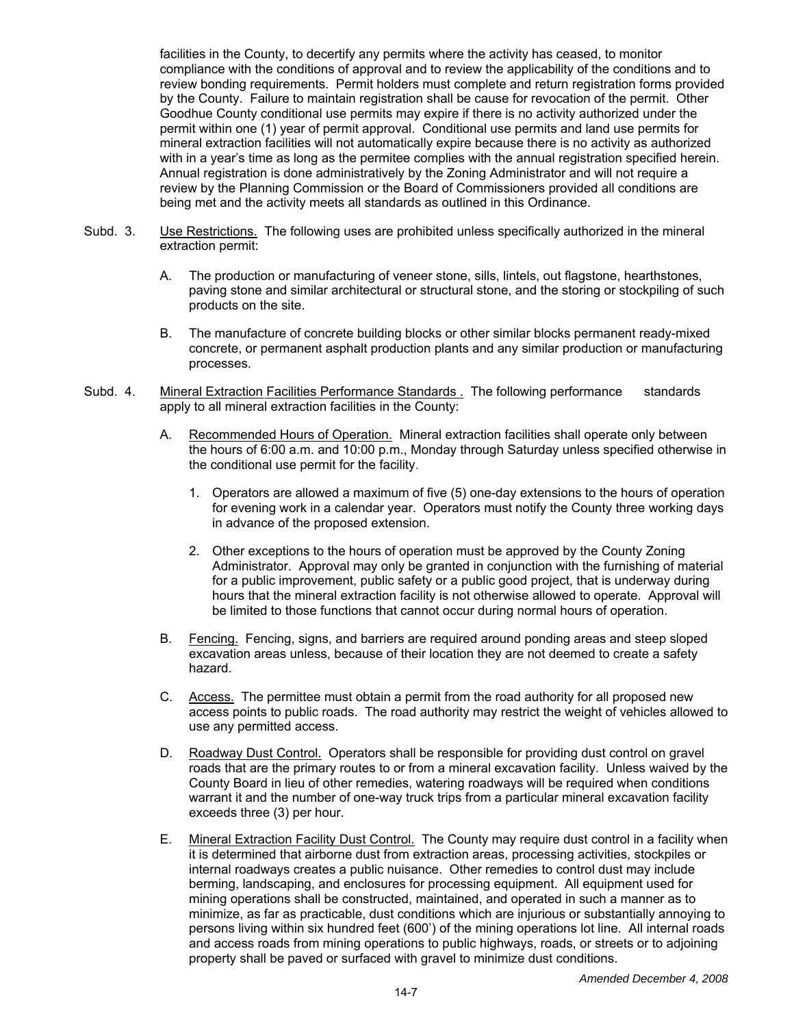facilities in the County, to decertify any permits where the activity has ceased, to monitor compliance with the conditions of approval and to review the applicability of the conditions and to review bonding requirements. Permit holders must complete and return registration forms provided by the County. Failure to maintain registration shall be cause for revocation of the permit. Other Goodhue County conditional use permits may expire if there is no activity authorized under the permit within one (1) year of permit approval. Conditional use permits and land use permits for mineral extraction facilities will not automatically expire because there is no activity as authorized with in a year's time as long as the permitee complies with the annual registration specified herein. Annual registration is done administratively by the Zoning Administrator and will not require a review by the Planning Commission or the Board of Commissioners provided all conditions are being met and the activity meets all standards as outlined in this Ordinance.

- Subd. 3. Use Restrictions. The following uses are prohibited unless specifically authorized in the mineral extraction permit:
	- A. The production or manufacturing of veneer stone, sills, lintels, out flagstone, hearthstones, paving stone and similar architectural or structural stone, and the storing or stockpiling of such products on the site.
	- B. The manufacture of concrete building blocks or other similar blocks permanent ready-mixed concrete, or permanent asphalt production plants and any similar production or manufacturing processes.
- Subd. 4. Mineral Extraction Facilities Performance Standards . The following performance standards apply to all mineral extraction facilities in the County:
	- A. Recommended Hours of Operation. Mineral extraction facilities shall operate only between the hours of 6:00 a.m. and 10:00 p.m., Monday through Saturday unless specified otherwise in the conditional use permit for the facility.
		- 1. Operators are allowed a maximum of five (5) one-day extensions to the hours of operation for evening work in a calendar year. Operators must notify the County three working days in advance of the proposed extension.
		- 2. Other exceptions to the hours of operation must be approved by the County Zoning Administrator. Approval may only be granted in conjunction with the furnishing of material for a public improvement, public safety or a public good project, that is underway during hours that the mineral extraction facility is not otherwise allowed to operate. Approval will be limited to those functions that cannot occur during normal hours of operation.
	- B. Fencing. Fencing, signs, and barriers are required around ponding areas and steep sloped excavation areas unless, because of their location they are not deemed to create a safety hazard.
	- C. Access. The permittee must obtain a permit from the road authority for all proposed new access points to public roads. The road authority may restrict the weight of vehicles allowed to use any permitted access.
	- D. Roadway Dust Control. Operators shall be responsible for providing dust control on gravel roads that are the primary routes to or from a mineral excavation facility. Unless waived by the County Board in lieu of other remedies, watering roadways will be required when conditions warrant it and the number of one-way truck trips from a particular mineral excavation facility exceeds three (3) per hour.
	- E. Mineral Extraction Facility Dust Control. The County may require dust control in a facility when it is determined that airborne dust from extraction areas, processing activities, stockpiles or internal roadways creates a public nuisance. Other remedies to control dust may include berming, landscaping, and enclosures for processing equipment. All equipment used for mining operations shall be constructed, maintained, and operated in such a manner as to minimize, as far as practicable, dust conditions which are injurious or substantially annoying to persons living within six hundred feet (600') of the mining operations lot line. All internal roads and access roads from mining operations to public highways, roads, or streets or to adjoining property shall be paved or surfaced with gravel to minimize dust conditions.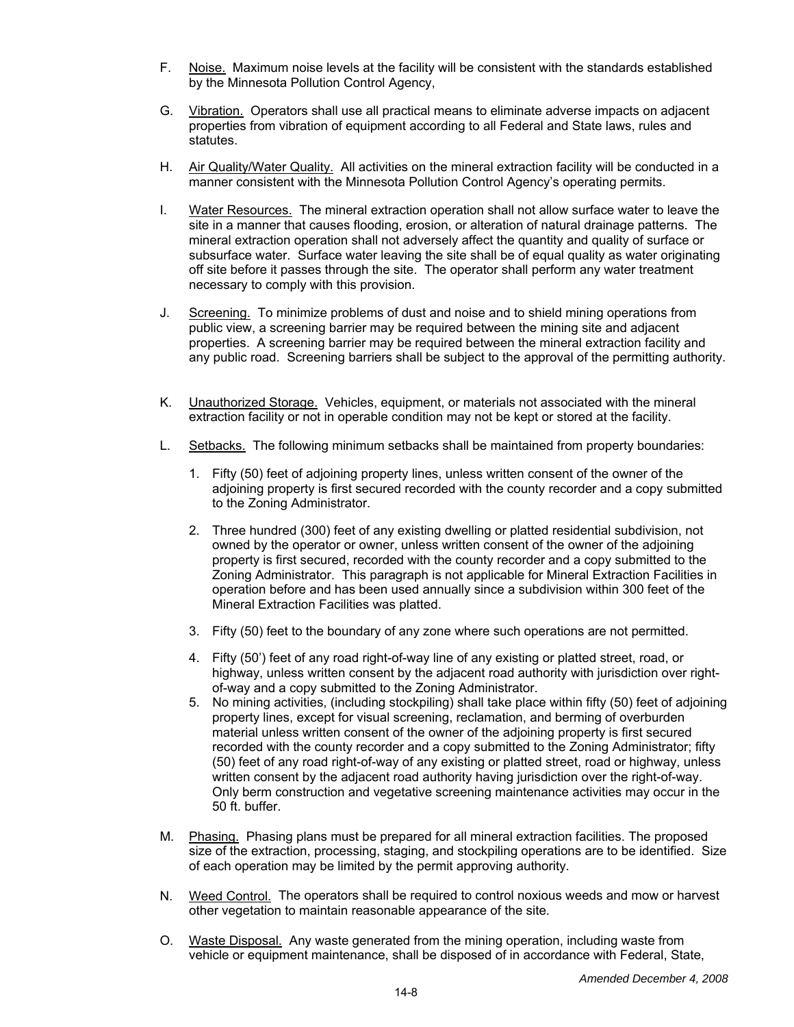- F. Noise. Maximum noise levels at the facility will be consistent with the standards established by the Minnesota Pollution Control Agency,
- G. Vibration. Operators shall use all practical means to eliminate adverse impacts on adjacent properties from vibration of equipment according to all Federal and State laws, rules and statutes.
- H. Air Quality/Water Quality. All activities on the mineral extraction facility will be conducted in a manner consistent with the Minnesota Pollution Control Agency's operating permits.
- I. Water Resources. The mineral extraction operation shall not allow surface water to leave the site in a manner that causes flooding, erosion, or alteration of natural drainage patterns. The mineral extraction operation shall not adversely affect the quantity and quality of surface or subsurface water. Surface water leaving the site shall be of equal quality as water originating off site before it passes through the site. The operator shall perform any water treatment necessary to comply with this provision.
- J. Screening. To minimize problems of dust and noise and to shield mining operations from public view, a screening barrier may be required between the mining site and adjacent properties. A screening barrier may be required between the mineral extraction facility and any public road. Screening barriers shall be subject to the approval of the permitting authority.
- K. Unauthorized Storage. Vehicles, equipment, or materials not associated with the mineral extraction facility or not in operable condition may not be kept or stored at the facility.
- L. Setbacks. The following minimum setbacks shall be maintained from property boundaries:
	- 1. Fifty (50) feet of adjoining property lines, unless written consent of the owner of the adjoining property is first secured recorded with the county recorder and a copy submitted to the Zoning Administrator.
	- 2. Three hundred (300) feet of any existing dwelling or platted residential subdivision, not owned by the operator or owner, unless written consent of the owner of the adjoining property is first secured, recorded with the county recorder and a copy submitted to the Zoning Administrator. This paragraph is not applicable for Mineral Extraction Facilities in operation before and has been used annually since a subdivision within 300 feet of the Mineral Extraction Facilities was platted.
	- 3. Fifty (50) feet to the boundary of any zone where such operations are not permitted.
	- 4. Fifty (50') feet of any road right-of-way line of any existing or platted street, road, or highway, unless written consent by the adjacent road authority with jurisdiction over rightof-way and a copy submitted to the Zoning Administrator.
	- 5. No mining activities, (including stockpiling) shall take place within fifty (50) feet of adjoining property lines, except for visual screening, reclamation, and berming of overburden material unless written consent of the owner of the adjoining property is first secured recorded with the county recorder and a copy submitted to the Zoning Administrator; fifty (50) feet of any road right-of-way of any existing or platted street, road or highway, unless written consent by the adjacent road authority having jurisdiction over the right-of-way. Only berm construction and vegetative screening maintenance activities may occur in the 50 ft. buffer.
- M. Phasing. Phasing plans must be prepared for all mineral extraction facilities. The proposed size of the extraction, processing, staging, and stockpiling operations are to be identified. Size of each operation may be limited by the permit approving authority.
- N. Weed Control. The operators shall be required to control noxious weeds and mow or harvest other vegetation to maintain reasonable appearance of the site.
- O. Waste Disposal. Any waste generated from the mining operation, including waste from vehicle or equipment maintenance, shall be disposed of in accordance with Federal, State,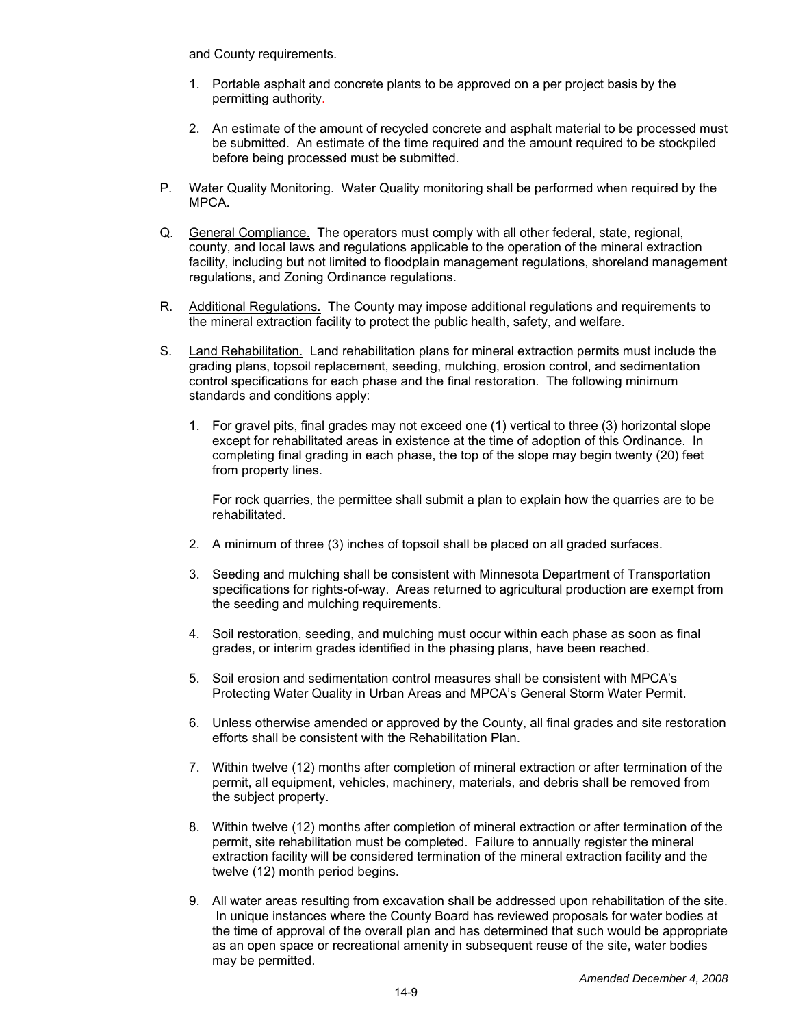and County requirements.

- 1. Portable asphalt and concrete plants to be approved on a per project basis by the permitting authority.
- 2. An estimate of the amount of recycled concrete and asphalt material to be processed must be submitted. An estimate of the time required and the amount required to be stockpiled before being processed must be submitted.
- P. Water Quality Monitoring. Water Quality monitoring shall be performed when required by the MPCA.
- Q. General Compliance. The operators must comply with all other federal, state, regional, county, and local laws and regulations applicable to the operation of the mineral extraction facility, including but not limited to floodplain management regulations, shoreland management regulations, and Zoning Ordinance regulations.
- R. Additional Regulations. The County may impose additional regulations and requirements to the mineral extraction facility to protect the public health, safety, and welfare.
- S. Land Rehabilitation. Land rehabilitation plans for mineral extraction permits must include the grading plans, topsoil replacement, seeding, mulching, erosion control, and sedimentation control specifications for each phase and the final restoration. The following minimum standards and conditions apply:
	- 1. For gravel pits, final grades may not exceed one (1) vertical to three (3) horizontal slope except for rehabilitated areas in existence at the time of adoption of this Ordinance. In completing final grading in each phase, the top of the slope may begin twenty (20) feet from property lines.

 For rock quarries, the permittee shall submit a plan to explain how the quarries are to be rehabilitated.

- 2. A minimum of three (3) inches of topsoil shall be placed on all graded surfaces.
- 3. Seeding and mulching shall be consistent with Minnesota Department of Transportation specifications for rights-of-way. Areas returned to agricultural production are exempt from the seeding and mulching requirements.
- 4. Soil restoration, seeding, and mulching must occur within each phase as soon as final grades, or interim grades identified in the phasing plans, have been reached.
- 5. Soil erosion and sedimentation control measures shall be consistent with MPCA's Protecting Water Quality in Urban Areas and MPCA's General Storm Water Permit.
- 6. Unless otherwise amended or approved by the County, all final grades and site restoration efforts shall be consistent with the Rehabilitation Plan.
- 7. Within twelve (12) months after completion of mineral extraction or after termination of the permit, all equipment, vehicles, machinery, materials, and debris shall be removed from the subject property.
- 8. Within twelve (12) months after completion of mineral extraction or after termination of the permit, site rehabilitation must be completed. Failure to annually register the mineral extraction facility will be considered termination of the mineral extraction facility and the twelve (12) month period begins.
- 9. All water areas resulting from excavation shall be addressed upon rehabilitation of the site. In unique instances where the County Board has reviewed proposals for water bodies at the time of approval of the overall plan and has determined that such would be appropriate as an open space or recreational amenity in subsequent reuse of the site, water bodies may be permitted.